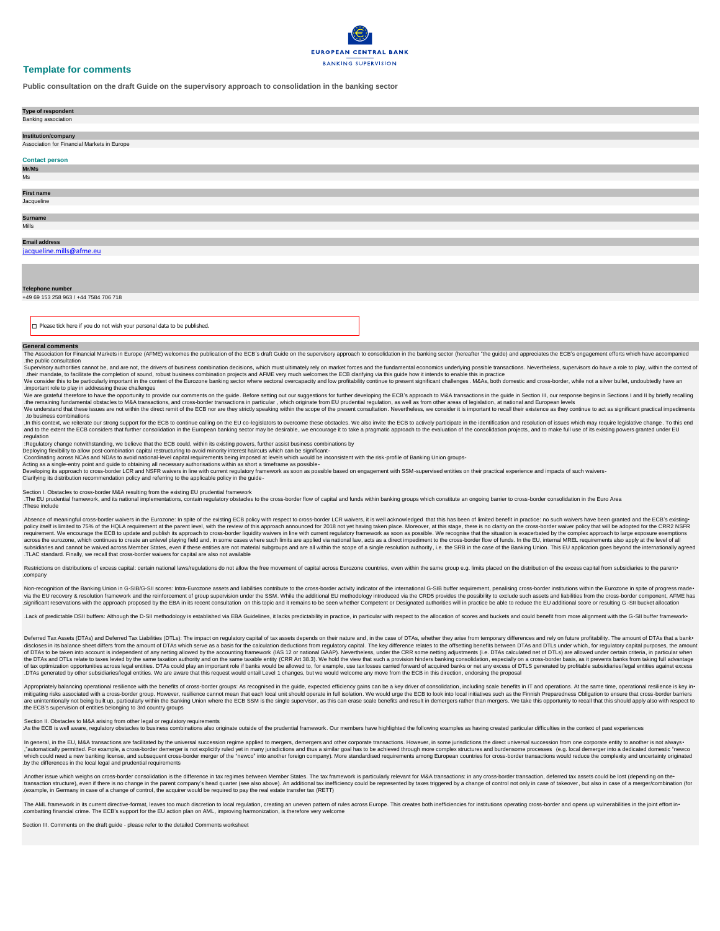

# **Template for comments**

**Public consultation on the draft Guide on the supervisory approach to consolidation in the banking sector**

| Type of respondent                          |
|---------------------------------------------|
| Banking association                         |
|                                             |
| Institution/company                         |
| Association for Financial Markets in Europe |
|                                             |
| <b>Contact person</b>                       |
| Mr/Ms                                       |
| $\operatorname{\mathsf{Ms}}$                |
|                                             |
| First name                                  |
| Jacqueline                                  |
|                                             |
| <b>Surname</b>                              |
| Mills                                       |
|                                             |
| <b>Email address</b>                        |
| jacqueline.mills@afme.eu                    |
|                                             |
|                                             |
|                                             |
|                                             |
| <b>Telephone number</b>                     |
| +49 69 153 258 963 / +44 7584 706 718       |

 $\Box$  Please tick here if you do not wish your personal data to be published.

The Association for Financial Markets in Europe (AFME) welcomes the publication of the ECB's draft Guide on the supervisory approach to consolidation in the banking sector (hereafter "the guide) and appreciates the ECB's e .the public consultation

## **General comments**

Supervisory authorities cannot be, and are not, the drivers of business combination decisions, which must ultimately rely on market forces and the fundamental economics underlying possible transactions. Nevertheless, super .their mandate, to facilitate the completion of sound, robust business combination projects and AFME very much welcomes the ECB clarifying via this guide how it intends to enable this in practice

We consider this to be particularly important in the context of the Eurozone banking sector where sectoral overcapacity and low profitability continue to present significant challenges. M&As, both domestic and cross-border .important role to play in addressing these challenges

We are grateful therefore to have the opportunity to provide our comments on the guide. Before setting out our suggestions for further developing the ECB's approach to M&A transactions in the guide in Section III, our resp .the remaining fundamental obstacles to M&A transactions, and cross-border transactions in particular, which originate from EU prudential regulation, as well as from other areas of legislation, at national and European lev

We understand that these issues are not within the direct remit of the ECB nor are they strictly speaking within the scope of the present consultation. Nevertheless, we consider it is important to recall their existence as .to business combinations

, In this context, we reiterate our strong support for the ECB to continue calling on the EU co-legislators to overcome these obstacles. We also invite the ECB to actively participate in the identification and resolution o and to the extent the ECB considers that further consolidation in the European banking sector may be desirable, we encourage it to take a pragmatic approach to the evaluation of the consolidation projects, and to make full .regulation

. The EU prudential framework, and its national implementations, contain regulatory obstacles to the cross-border flow of capital and funds within banking groups which constitute an ongoing barrier to cross-border consolid :These include

Absence of meaningful cross-border waivers in the Eurozone: In spite of the existing ECB policy with respect to cross-border LCR waivers, it is well acknowledged that this has been of limited benefit in practice: no such w policy itself is limited to 75% of the HQLA requirement at the parent level, with the review of this approach announced for 2018 not yet having taken place. Moreover, at this stage, there is no clarity on the cross-border requirement. We encourage the ECB to update and publish its approach to cross-border liquidity waivers in line with current regulatory framework as soon as possible. We recognise that the situation is exacerbated by the co across the eurozone, which continues to create an unlevel playing field and, in some cases where such limits are applied via national law, acts as a direct impediment to the cross-border flow of funds. In the EU, internal subsidiaries and cannot be waived across Member States, even if these entities are not material subgroups and are all within the scope of a single resolution authority, i.e. the SRB in the case of the Banking Union. This E .TLAC standard. Finally, we recall that cross-border waivers for capital are also not available

Restrictions on distributions of excess capital: certain national laws/regulations do not allow the free movement of capital across Eurozone countries, even within the same group e.g. limits placed on the distribution of t .company

Non-recognition of the Banking Union in G-SIB/G-SII scores: Intra-Eurozone assets and liabilities contribute to the cross-border activity indicator of the international G-SIB buffer requirement, penalising cross-border ins via the EU recovery & resolution framework and the reinforcement of group supervision under the SSM. While the additional EU methodology introduced via the CRD5 provides the possibility to exclude such assets and liabiliti significant reservations with the approach proposed by the EBA in its recent consultation on this topic and it remains to be seen whether Competent or Designated authorities will in practice be able to reduce the EU additi

.Lack of predictable DSII buffers: Although the D-SII methodology is established via EBA Guidelines, it lacks predictability in practice, in particular with respect to the allocation of scores and buckets and could benefit

:Regulatory change notwithstanding, we believe that the ECB could, within its existing powers, further assist business combinations by

Deploying flexibility to allow post-combination capital restructuring to avoid minority interest haircuts which can be significant-

Coordinating across NCAs and NDAs to avoid national-level capital requirements being imposed at levels which would be inconsistent with the risk-profile of Banking Union groups-

Acting as a single-entry point and guide to obtaining all necessary authorisations within as short a timeframe as possible-

Developing its approach to cross-border LCR and NSFR waivers in line with current regulatory framework as soon as possible based on engagement with SSM-supervised entities on their practical experience and impacts of such

Clarifying its distribution recommendation policy and referring to the applicable policy in the guide-

Section I. Obstacles to cross-border M&A resulting from the existing EU prudential framework

Deferred Tax Assets (DTAs) and Deferred Tax Liabilities (DTLs): The impact on regulatory capital of tax assets depends on their nature and, in the case of DTAs, whether they arise from temporary differences and rely on fut discloses in its balance sheet differs from the amount of DTAs which serve as a basis for the calculation deductions from requlatory capital. The key difference relates to the offsetting benefits between DTAs and DTLs unde of DTAs to be taken into account is independent of any netting allowed by the accounting framework (IAS 12 or national GAAP). Nevertheless, under the CRR some netting adjustments (i.e. DTAs calculated net of DTLs) are allo the DTAs and DTLs relate to taxes levied by the same taxation authority and on the same taxable entity (CRR Art 38.3). We hold the view that such a provision hinders banking consolidation, especially on a cross-border basi of tax optimization opportunities across legal entities. DTAs could play an important role if banks would be allowed to, for example, use tax losses carried forward of acquired banks or net any excess of DTLS generated by .DTAs generated by other subsidiaries/legal entities. We are aware that this request would entail Level 1 changes, but we would welcome any move from the ECB in this direction, endorsing the proposal

Appropriately balancing operational resilience with the benefits of cross-border groups: As recognised in the guide, expected efficiency gains can be a key driver of consolidation, including scale benefits in IT and operat mitigating risks associated with a cross-border group. However, resilience cannot mean that each local unit should operate in full isolation. We would urge the ECB to look into local initiatives such as the Finnish Prepare are unintentionally not being built up, particularly within the Banking Union where the ECB SSM is the single supervisor, as this can erase scale benefits and result in demergers rather than mergers. We take this opportuni .the ECB's supervision of entities belonging to 3rd country groups

In general, in the EU, M&A transactions are facilitated by the universal succession regime applied to mergers, demergers and other corporate transactions. However, in some jurisdictions the direct universal succession from "automatically permitted. For example, a cross-border demerger is not explicitly ruled yet in many jurisdictions and thus a similar goal has to be achieved through more complex structures and burdensome processes (e.g. loc which could need a new banking license, and subsequent cross-border merger of the "newco" into another foreign company). More standardised requirements among European countries for cross-border transactions would reduce th .by the differences in the local legal and prudential requirements

Another issue which weighs on cross-border consolidation is the difference in tax regimes between Member States. The tax framework is particularly relevant for M&A transactions: in any cross-border transaction, deferred ta transaction structure), even if there is no change in the parent company's head quarter (see also above). An additional tax inefficiency could be represented by taxes triggered by a change of control not only in case of ta .)example, in Germany in case of a change of control, the acquirer would be required to pay the real estate transfer tax (RETT)

The AML framework in its current directive-format, leaves too much discretion to local regulation, creating an uneven pattern of rules across Europe. This creates both inefficiencies for institutions operating cross-border .combatting financial crime. The ECB's support for the EU action plan on AML, improving harmonization, is therefore very welcome

### Section II. Obstacles to M&A arising from other legal or regulatory requirements

:As the ECB is well aware, regulatory obstacles to business combinations also originate outside of the prudential framework. Our members have highlighted the following examples as having created particular difficulties in

Section III. Comments on the draft guide - please refer to the detailed Comments worksheet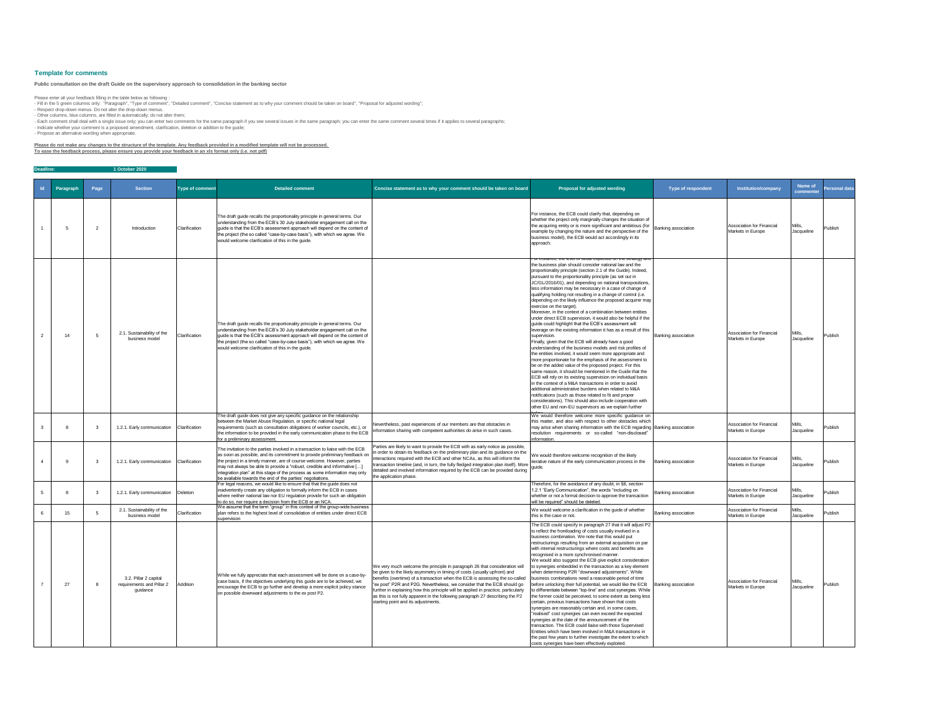| <b>Personal data</b> |
|----------------------|
| Publish              |
| Publish              |
| Publish              |
| Publish              |
| Publish              |
| Publish              |
| Publish              |

- Respect drop-down menus. Do not alter the drop-down menus. - Other columns, blue columns, are filled in automatically; do not alter them;

- Each comment shall deal with a single issue only; you can enter two comments for the same paragraph if you see several issues in the same paragraph; you can enter the same comment several times if it applies to several p - Indicate whether your comment is a proposed amendment, clarification, deletion or addition to the guide;

| <b>Deadline:</b> |           |      | 1 October 2020                                                 |                        |                                                                                                                                                                                                                                                                                                                                                                                                                                                                  |                                                                                                                                                                                                                                                                                                                                                                                                                                                                                                                                 |                                                                                                                                                                                                                                                                                                                                                                                                                                                                                                                                                                                                                                                                                                                                                                                                                                                                                                                                                                                                                                                                                                                                                                                                                                                                                                                                                                                                                                                                                                                                                                          |                            |                                                       |                      |
|------------------|-----------|------|----------------------------------------------------------------|------------------------|------------------------------------------------------------------------------------------------------------------------------------------------------------------------------------------------------------------------------------------------------------------------------------------------------------------------------------------------------------------------------------------------------------------------------------------------------------------|---------------------------------------------------------------------------------------------------------------------------------------------------------------------------------------------------------------------------------------------------------------------------------------------------------------------------------------------------------------------------------------------------------------------------------------------------------------------------------------------------------------------------------|--------------------------------------------------------------------------------------------------------------------------------------------------------------------------------------------------------------------------------------------------------------------------------------------------------------------------------------------------------------------------------------------------------------------------------------------------------------------------------------------------------------------------------------------------------------------------------------------------------------------------------------------------------------------------------------------------------------------------------------------------------------------------------------------------------------------------------------------------------------------------------------------------------------------------------------------------------------------------------------------------------------------------------------------------------------------------------------------------------------------------------------------------------------------------------------------------------------------------------------------------------------------------------------------------------------------------------------------------------------------------------------------------------------------------------------------------------------------------------------------------------------------------------------------------------------------------|----------------------------|-------------------------------------------------------|----------------------|
| $\mathsf{Id}$    | Paragraph | Page | <b>Section</b>                                                 | <b>Type of comment</b> | <b>Detailed comment</b>                                                                                                                                                                                                                                                                                                                                                                                                                                          | Concise statement as to why your comment should be taken on board                                                                                                                                                                                                                                                                                                                                                                                                                                                               | <b>Proposal for adjusted wording</b>                                                                                                                                                                                                                                                                                                                                                                                                                                                                                                                                                                                                                                                                                                                                                                                                                                                                                                                                                                                                                                                                                                                                                                                                                                                                                                                                                                                                                                                                                                                                     | <b>Type of respondent</b>  | <b>Institution/company</b>                            | Name of<br>commenter |
|                  | .5        |      | Introduction                                                   | Clarification          | The draft guide recalls the proportionality principle in general terms. Our<br>understanding from the ECB's 30 July stakeholder engagement call on the<br>guide is that the ECB's assessment approach will depend on the content of<br>the project (the so called "case-by-case basis"), with which we agree. We<br>would welcome clarification of this in the guide.                                                                                            |                                                                                                                                                                                                                                                                                                                                                                                                                                                                                                                                 | For instance, the ECB could clarify that, depending on<br>whether the project only marginally changes the situation of<br>the acquiring entity or is more significant and ambitious (for<br>example by changing the nature and the perspective of the<br>business model), the ECB would act accordingly in its<br>approach                                                                                                                                                                                                                                                                                                                                                                                                                                                                                                                                                                                                                                                                                                                                                                                                                                                                                                                                                                                                                                                                                                                                                                                                                                               | <b>Banking association</b> | Association for Financial<br>Markets in Europe        | Mills.<br>Jacqueline |
|                  | 14        |      | 2.1. Sustainability of the<br>business model                   | Clarification          | The draft guide recalls the proportionality principle in general terms. Our<br>understanding from the ECB's 30 July stakeholder engagement call on the<br>guide is that the ECB's assessment approach will depend on the content of<br>the project (the so called "case-by-case basis"), with which we agree. We<br>would welcome clarification of this in the guide.                                                                                            |                                                                                                                                                                                                                                                                                                                                                                                                                                                                                                                                 | <u>or iristance, the lever or detail expected on the strategy and </u><br>the business plan should consider national law and the<br>proportionality principle (section 2.1 of the Guide). Indeed,<br>pursuant to the proportionality principle (as set out in<br>JC/GL/2016/01), and depending on national transpositions,<br>less information may be necessary in a case of change of<br>qualifying holding not resulting in a change of control (i.e.<br>depending on the likely influence the proposed acquirer may<br>exercise on the target).<br>Moreover, in the context of a combination between entities<br>under direct ECB supervision, it would also be helpful if the<br>guide could highlight that the ECB's assessment will<br>leverage on the existing information it has as a result of this<br>supervision.<br>Finally, given that the ECB will already have a good<br>understanding of the business models and risk profiles of<br>the entities involved, it would seem more appropriate and<br>more proportionate for the emphasis of the assessment to<br>be on the added value of the proposed project. For this<br>same reason, it should be mentioned in the Guide that the<br>ECB will rely on its existing supervision on individual basis<br>in the context of a M&A transactions in order to avoid<br>ladditional administrative burdens when related to M&A<br>notifications (such as those related to fit and proper<br>considerations). This should also include cooperation with<br>other EU and non-EU supervisors as we explain further | <b>Banking association</b> | Association for Financial<br>Markets in Europe        | Mills.<br>Jacqueline |
|                  |           |      | 1.2.1. Early communication                                     | Clarification          | The draft guide does not give any specific guidance on the relationship<br>between the Market Abuse Regulation, or specific national legal<br>requirements (such as consultation obligations of worker councils, etc.), or<br>the information to be provided in the early communication phase to the ECB<br>for a preliminary assessment.                                                                                                                        | Nevertheless, past experiences of our members are that obstacles in<br>information sharing with competent authorities do arise in such cases.                                                                                                                                                                                                                                                                                                                                                                                   | We would therefore welcome more specific guidance on<br>this matter, and also with respect to other obstacles which<br>may arise when sharing information with the ECB regarding Banking association<br>resolution requirements or so-called "non-disclosed"<br>information.                                                                                                                                                                                                                                                                                                                                                                                                                                                                                                                                                                                                                                                                                                                                                                                                                                                                                                                                                                                                                                                                                                                                                                                                                                                                                             |                            | Association for Financial<br>Markets in Europe        | Mills.<br>Jacqueline |
|                  | ۰Q        |      | 1.2.1. Early communication                                     | Clarification          | The invitation to the parties involved in a transaction to liaise with the ECB<br>as soon as possible, and its commitment to provide preliminary feedback on<br>the project in a timely manner, are of course welcome. However, parties<br> may not always be able to provide a "robust, credible and informative [<br>integration plan" at this stage of the process as some information may only<br>be available towards the end of the parties' negotiations. | Parties are likely to want to provide the ECB with as early notice as possible,<br>in order to obtain its feedback on the preliminary plan and its guidance on the<br>interactions required with the ECB and other NCAs, as this will inform the<br>transaction timeline (and, in turn, the fully fledged integration plan itself). More<br>detailed and involved information required by the ECB can be provided during<br>the application phase.                                                                              | We would therefore welcome recognition of the likely<br>terative nature of the early communication process in the                                                                                                                                                                                                                                                                                                                                                                                                                                                                                                                                                                                                                                                                                                                                                                                                                                                                                                                                                                                                                                                                                                                                                                                                                                                                                                                                                                                                                                                        | <b>Banking association</b> | Association for Financial<br>Markets in Europe        | Mills.<br>Jacqueline |
|                  |           |      | 1.2.1. Early communication                                     | Deletion               | For legal reasons, we would like to ensure that that the guide does not<br>inadvertently create any obligation to formally inform the ECB in cases<br>where neither national law nor EU regulation provide for such an obligation<br>to do so, nor require a decision from the ECB or an NCA.                                                                                                                                                                    |                                                                                                                                                                                                                                                                                                                                                                                                                                                                                                                                 | Therefore, for the avoidance of any doubt, in §8, section<br>1.2.1 "Early Communication", the words "including on<br>whether or not a formal decision to approve the transaction<br>will be required" should be deleted.                                                                                                                                                                                                                                                                                                                                                                                                                                                                                                                                                                                                                                                                                                                                                                                                                                                                                                                                                                                                                                                                                                                                                                                                                                                                                                                                                 | <b>Banking association</b> | <b>Association for Financial</b><br>Markets in Europe | Mills.<br>Jacqueline |
|                  | 15        |      | 2.1. Sustainability of the<br>business model                   | Clarification          | We assume that the term "group" in this context of the group-wide business<br>plan refers to the highest level of consolidation of entities under direct ECB<br>supervision                                                                                                                                                                                                                                                                                      |                                                                                                                                                                                                                                                                                                                                                                                                                                                                                                                                 | We would welcome a clarification in the guide of whether<br>this is the case or not.                                                                                                                                                                                                                                                                                                                                                                                                                                                                                                                                                                                                                                                                                                                                                                                                                                                                                                                                                                                                                                                                                                                                                                                                                                                                                                                                                                                                                                                                                     | <b>Banking association</b> | <b>Association for Financial</b><br>Markets in Europe | Mills.<br>Jacqueline |
|                  | 27        |      | 3.2. Pillar 2 capital<br>requirements and Pillar 2<br>guidance | Addition               | While we fully appreciate that each assessment will be done on a case-by-<br>case basis, if the objectives underlying this guide are to be achieved, we<br>encourage the ECB to go further and develop a more explicit policy stance<br>on possible downward adjustments to the ex post P2.                                                                                                                                                                      | We very much welcome the principle in paragraph 26 that consideration will<br>be given to the likely asymmetry in timing of costs (usually upfront) and<br>benefits (overtime) of a transaction when the ECB is assessing the so-called<br>ex post" P2R and P2G. Nevertheless, we consider that the ECB should go<br>further in explaining how this principle will be applied in practice, particularly<br>as this is not fully apparent in the following paragraph 27 describing the P2<br>starting point and its adjustments. | The ECB could specify in paragraph 27 that it will adjust P2<br>to reflect the frontloading of costs usually involved in a<br>business combination. We note that this would put<br>restructurings resulting from an external acquisition on par<br>with internal restructurings where costs and benefits are<br>recognised in a more synchronised manner.<br>We would also suggest the ECB give explicit consideration<br>to synergies embedded in the transaction as a key element<br>when determining P2R "downward adjustments". While<br>business combinations need a reasonable period of time<br>before unlocking their full potential, we would like the ECB<br>to differentiate between "top-line" and cost synergies. While<br>the former could be perceived, to some extent as being less<br>certain, previous transactions have shown that costs<br>synergies are reasonably certain and, in some cases,<br>"realised" cost synergies can even exceed the expected<br>synergies at the date of the announcement of the<br>transaction. The ECB could liaise with those Supervised<br>Entities which have been involved in M&A transactions in<br>the past few years to further investigate the extent to which<br>costs synergies have been effectively exploited.                                                                                                                                                                                                                                                                                            | <b>Banking association</b> | <b>Association for Financial</b><br>Markets in Europe | Mills.<br>Jacqueline |

# **Template for comments**

Please enter all your feedback filling in the table below as following :

- Fill in the 5 green columns only: "Paragraph", "Type of comment", "Detailed comment", "Concise statement as to why your comment should be taken on board", "Proposal for adjusted wording";

- Propose an alternative wording when appropriate.

## **Please do not make any changes to the structure of the template. Any feedback provided in a modified template will not be processed.**

**To ease the feedback process, please ensure you provide your feedback in an xls format only (i.e. not pdf)**

**Public consultation on the draft Guide on the supervisory approach to consolidation in the banking sector**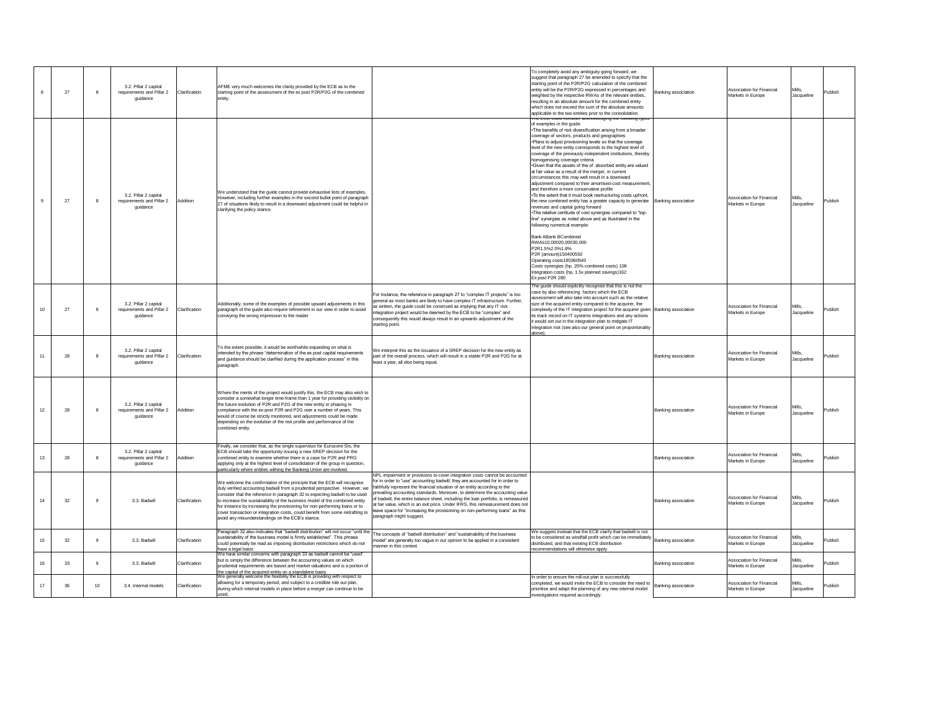|                  | 27 |    | 3.2. Pillar 2 capital<br>requirements and Pillar 2<br>guidance | Clarification | AFME very much welcomes the clarity provided by the ECB as to the<br>starting point of the assessment of the ex post P2R/P2G of the combined<br>entity.                                                                                                                                                                                                                                                                                                                                                                                  |                                                                                                                                                                                                                                                                                                                                                                                                                                                                                                                                                                                                               | To completely avoid any ambiguity going forward, we<br>suggest that paragraph 27 be amended to specify that the<br>starting point of the P2R/P2G calculation of the combined<br>entity will be the P2R/P2G expressed in percentages and<br>weighted by the respective RWAs of the relevant entities,<br>resulting in an absolute amount for the combined entity<br>which does not exceed the sum of the absolute amounts<br>applicable to the two entities prior to the consolidation.<br><u>rne COD could consider acknowledging the rollowing types.</u>                                                                                                                                                                                                                                                                                                                                                                                                                                                                                                                                                                                                                                                                                                  | Banking association        | Association for Financial<br>Markets in Europe        | Mills,<br>Jacqueline |
|------------------|----|----|----------------------------------------------------------------|---------------|------------------------------------------------------------------------------------------------------------------------------------------------------------------------------------------------------------------------------------------------------------------------------------------------------------------------------------------------------------------------------------------------------------------------------------------------------------------------------------------------------------------------------------------|---------------------------------------------------------------------------------------------------------------------------------------------------------------------------------------------------------------------------------------------------------------------------------------------------------------------------------------------------------------------------------------------------------------------------------------------------------------------------------------------------------------------------------------------------------------------------------------------------------------|-------------------------------------------------------------------------------------------------------------------------------------------------------------------------------------------------------------------------------------------------------------------------------------------------------------------------------------------------------------------------------------------------------------------------------------------------------------------------------------------------------------------------------------------------------------------------------------------------------------------------------------------------------------------------------------------------------------------------------------------------------------------------------------------------------------------------------------------------------------------------------------------------------------------------------------------------------------------------------------------------------------------------------------------------------------------------------------------------------------------------------------------------------------------------------------------------------------------------------------------------------------|----------------------------|-------------------------------------------------------|----------------------|
|                  | 27 |    | 3.2. Pillar 2 capital<br>requirements and Pillar 2<br>guidance | Addition      | We understand that the guide cannot provide exhaustive lists of examples.<br>However, including further examples in the second bullet point of paragraph<br>27 of situations likely to result in a downward adjustment could be helpful in<br>clarifying the policy stance.                                                                                                                                                                                                                                                              |                                                                                                                                                                                                                                                                                                                                                                                                                                                                                                                                                                                                               | of examples in the guide:<br>• The benefits of risk diversification arising from a broader<br>coverage of sectors, products and geographies<br>• Plans to adjust provisioning levels so that the coverage<br>level of the new entity corresponds to the highest level of<br>coverage of the previously independent institutions, thereby<br>homogenising coverage criteria<br>Given that the assets of the of absorbed entity are valued<br>at fair value as a result of the merger, in current<br>circumstances this may well result in a downward<br>adjustment compared to their amortised-cost measurement,<br>and therefore a more conservative profile<br>$\cdot$ To the extent that it must book restructuring costs upfront,<br>the new combined entity has a greater capacity to generate<br>revenues and capital going forward<br>• The relative certitude of cost synergies compared to "top-<br>line" synergies as noted above and as illustrated in the<br>following numerical example:<br><b>Bank ABank BCombined</b><br>RWAs10,00020,00030,000<br>P2R1.5%2.0%1.8%<br>P2R (amount)150400550<br>Operating costs180360540<br>Costs synergies (hp. 20% combined costs) 108<br>Integration costs (hp. 1.5x planned savings)162<br>Ex post P2R 280 | <b>Banking association</b> | Association for Financial<br>Markets in Europe        | Mills,<br>Jacqueline |
|                  | 27 |    | 3.2. Pillar 2 capital<br>requirements and Pillar 2<br>guidance | Clarification | Additionally, some of the examples of possible upward adjustments in this<br>paragraph of the guide also require refinement in our view in order to avoid<br>conveying the wrong impression to the reader                                                                                                                                                                                                                                                                                                                                | For instance, the reference in paragraph 27 to "complex IT projects" is too<br>general as most banks are likely to have complex IT infrastructure. Further,<br>as written, the guide could be construed as implying that any IT risk<br>integration project would be deemed by the ECB to be "complex" and<br>consequently this would always result in an upwards adjustment of the<br>starting point.                                                                                                                                                                                                        | The guide should explicitly recognise that this is not the<br>case by also referencing factors which the ECB<br>assessment will also take into account such as the relative<br>size of the acquired entity compared to the acquirer, the<br>complexity of the IT integration project for the acquirer given Banking association<br>its track record on IT systems integrations and any actions<br>it would set out in the integration plan to mitigate IT<br>integration risk (see also our general point on proportionality<br>above)                                                                                                                                                                                                                                                                                                                                                                                                                                                                                                                                                                                                                                                                                                                      |                            | Association for Financial<br>Markets in Europe        | Mills,<br>Jacqueline |
|                  | 28 |    | 3.2. Pillar 2 capital<br>requirements and Pillar 2<br>guidance | Clarification | To the extent possible, it would be worthwhile expanding on what is<br>intended by the phrase "determination of the ex post capital requirements<br>and guidance should be clarified during the application process" in this<br>paragraph.                                                                                                                                                                                                                                                                                               | We interpret this as the issuance of a SREP decision for the new entity as<br>part of the overall process, which will result in a stable P2R and P2G for at<br>least a year, all else being equal.                                                                                                                                                                                                                                                                                                                                                                                                            |                                                                                                                                                                                                                                                                                                                                                                                                                                                                                                                                                                                                                                                                                                                                                                                                                                                                                                                                                                                                                                                                                                                                                                                                                                                             | Banking association        | Association for Financial<br>Markets in Europe        | Mills,<br>Jacqueline |
| 12               | 28 |    | 3.2. Pillar 2 capital<br>requirements and Pillar 2<br>guidance | Addition      | Where the merits of the project would justify this, the ECB may also wish to<br>consider a somewhat longer time-frame than 1 year for providing visibility on<br>the future evolution of P2R and P2G of the new entity or phasing in<br>compliance with the ex-post P2R and P2G over a number of years. This<br>would of course be strictly monitored, and adjustments could be made<br>depending on the evolution of the risk profile and performance of the<br>combined entity.                                                        |                                                                                                                                                                                                                                                                                                                                                                                                                                                                                                                                                                                                               |                                                                                                                                                                                                                                                                                                                                                                                                                                                                                                                                                                                                                                                                                                                                                                                                                                                                                                                                                                                                                                                                                                                                                                                                                                                             | Banking association        | Association for Financial<br>Markets in Europe        | Mills,<br>Jacqueline |
|                  | 28 |    | 3.2. Pillar 2 capital<br>requirements and Pillar 2<br>guidance | Addition      | Finally, we consider that, as the single supervisor for Eurozone SIs, the<br>ECB should take the opportunity issuing a new SREP decision for the<br>combined entity to examine whether there is a case for P2R and PRG<br>applying only at the highest level of consolidation of the group in question,<br>particularly where entities withing the Banking Union are involved.                                                                                                                                                           |                                                                                                                                                                                                                                                                                                                                                                                                                                                                                                                                                                                                               |                                                                                                                                                                                                                                                                                                                                                                                                                                                                                                                                                                                                                                                                                                                                                                                                                                                                                                                                                                                                                                                                                                                                                                                                                                                             | Banking association        | Association for Financial<br>Markets in Europe        | Mills,<br>Jacqueline |
| 14               | 32 | 9  | 3.3. Badwill                                                   | Clarification | We welcome the confirmation of the principle that the ECB will recognise<br>duly verified accounting badwill from a prudential perspective. However, we<br>consider that the reference in paragraph 32 to expecting badwill to be used<br>to increase the sustainability of the business model of the combined entity<br>for instance by increasing the provisioning for non-performing loans or to<br>cover transaction or integration costs, could benefit from some redrafting to<br>avoid any misunderstandings on the ECB's stance. | NPL impairment or provisions to cover integration costs cannot be accounted<br>for in order to "use" accounting badwill; they are accounted for in order to<br>faithfully represent the financial situation of an entity according to the<br>prevailing accounting standards. Moreover, to determine the accounting value<br>of badwill, the entire balance sheet, including the loan portfolio, is remeasured<br>at fair value, which is an exit price. Under IFRS, this remeasurement does not<br>leave space for "increasing the provisioning on non-performing loans" as this<br>paragraph might suggest. |                                                                                                                                                                                                                                                                                                                                                                                                                                                                                                                                                                                                                                                                                                                                                                                                                                                                                                                                                                                                                                                                                                                                                                                                                                                             | Banking association        | Association for Financial<br>Markets in Europe        | Mills,<br>Jacqueline |
| 15 <sub>15</sub> | 32 | -9 | 3.3. Badwill                                                   | Clarification | Paragraph 32 also indicates that "badwill distribution" will not occur "until the<br>sustainability of the business model is firmly established". This phrase<br>could potentially be read as imposing distribution restrictions which do not<br>have a legal basis                                                                                                                                                                                                                                                                      | The concepts of "badwill distribution" and "sustainability of the business<br>model" are generally too vague in our opinion to be applied in a consistent<br>manner in this context.                                                                                                                                                                                                                                                                                                                                                                                                                          | We suggest instead that the ECB clarify that badwill is not<br>to be considered as windfall profit which can be immediately<br>distributed, and that existing ECB distribution<br>recommendations will otherwise apply.                                                                                                                                                                                                                                                                                                                                                                                                                                                                                                                                                                                                                                                                                                                                                                                                                                                                                                                                                                                                                                     | Banking association        | <b>Association for Financial</b><br>Markets in Europe | Mills,<br>Jacqueline |
| 16               | 33 | -9 | 3.3. Badwill                                                   | Clarification | We have similar concerns with paragraph 33 as badwill cannot be "used"<br>but is simply the difference between the accounting values on which<br>prudential requirements are based and market valuations and is a portion of<br>the capital of the acquired entity on a standalone basis.                                                                                                                                                                                                                                                |                                                                                                                                                                                                                                                                                                                                                                                                                                                                                                                                                                                                               |                                                                                                                                                                                                                                                                                                                                                                                                                                                                                                                                                                                                                                                                                                                                                                                                                                                                                                                                                                                                                                                                                                                                                                                                                                                             | Banking association        | <b>Association for Financial</b><br>Markets in Europe | Mills,<br>Jacqueline |
| 17               | 36 | 10 | 3.4. Internal models                                           | Clarification | We generally welcome the flexibility the ECB is providing with respect to<br>allowing for a temporary period, and subject to a credible role out plan,<br>during which internal models in place before a merger can continue to be<br>used                                                                                                                                                                                                                                                                                               |                                                                                                                                                                                                                                                                                                                                                                                                                                                                                                                                                                                                               | In order to ensure the roll-out plan is successfully<br>completed, we would invite the ECB to consider the need to<br>prioritise and adapt the planning of any new internal model<br>investigations required accordingly.                                                                                                                                                                                                                                                                                                                                                                                                                                                                                                                                                                                                                                                                                                                                                                                                                                                                                                                                                                                                                                   | <b>Banking association</b> | <b>Association for Financial</b><br>Markets in Europe | Mills,<br>Jacqueline |

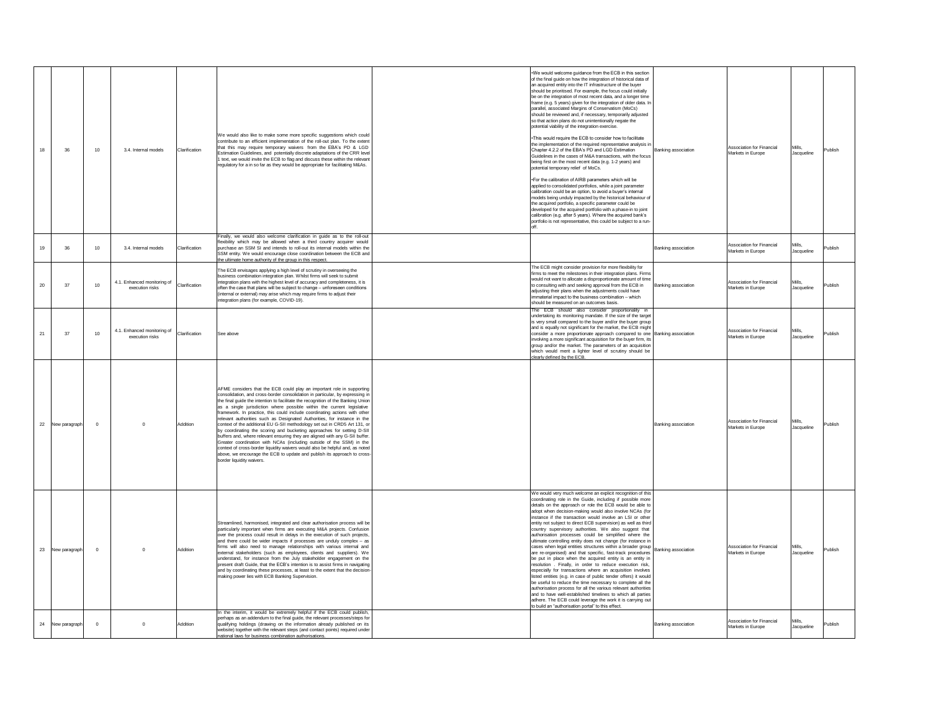|    | 36               | 10 <sup>°</sup> | 3.4. Internal models                           | Clarification | We would also like to make some more specific suggestions which could<br>contribute to an efficient implementation of the roll-out plan. To the extent<br>that this may require temporary waivers from the EBA's PD & LGD<br>Estimation Guidelines, and potentially discrete adaptations of the CRR level<br>1 text, we would invite the ECB to flag and discuss these within the relevant<br>regulatory for a in so far as they would be appropriate for facilitating M&As.<br>Finally, we would also welcome clarification in guide as to the roll-out                                                                                                                                                                                                                                                                                                                                                                                                                                  | $\cdot$ We would welcome guidance from the ECB in this section<br>of the final guide on how the integration of historical data of<br>an acquired entity into the IT infrastructure of the buyer<br>should be prioritised. For example, the focus could initially<br>be on the integration of most recent data, and a longer time<br>frame (e.g. 5 years) given for the integration of older data. In<br>parallel, associated Margins of Conservatism (MoCs)<br>should be reviewed and, if necessary, temporarily adjusted<br>so that action plans do not unintentionally negate the<br>potential viability of the integration exercise.<br>• This would require the ECB to consider how to facilitate<br>the implementation of the required representative analysis in<br>Chapter 4.2.2 of the EBA's PD and LGD Estimation<br>Guidelines in the cases of M&A transactions, with the focus<br>being first on the most recent data (e.g. 1-2 years) and<br>potential temporary relief of MoCs.<br>• For the calibration of AIRB parameters which will be<br>applied to consolidated portfolios, while a joint parameter<br>calibration could be an option, to avoid a buyer's internal<br>models being unduly impacted by the historical behaviour of<br>the acquired portfolio, a specific parameter could be<br>developed for the acquired portfolio with a phase-in to joint<br>calibration (e.g. after 5 years). Where the acquired bank's<br>portfolio is not representative, this could be subject to a run- | <b>Banking association</b> | Association for Financial<br>Markets in Europe | Mills,<br>Jacqueline |
|----|------------------|-----------------|------------------------------------------------|---------------|-------------------------------------------------------------------------------------------------------------------------------------------------------------------------------------------------------------------------------------------------------------------------------------------------------------------------------------------------------------------------------------------------------------------------------------------------------------------------------------------------------------------------------------------------------------------------------------------------------------------------------------------------------------------------------------------------------------------------------------------------------------------------------------------------------------------------------------------------------------------------------------------------------------------------------------------------------------------------------------------|------------------------------------------------------------------------------------------------------------------------------------------------------------------------------------------------------------------------------------------------------------------------------------------------------------------------------------------------------------------------------------------------------------------------------------------------------------------------------------------------------------------------------------------------------------------------------------------------------------------------------------------------------------------------------------------------------------------------------------------------------------------------------------------------------------------------------------------------------------------------------------------------------------------------------------------------------------------------------------------------------------------------------------------------------------------------------------------------------------------------------------------------------------------------------------------------------------------------------------------------------------------------------------------------------------------------------------------------------------------------------------------------------------------------------------------------------------------------------------------------------------------|----------------------------|------------------------------------------------|----------------------|
|    | 36               | 10              | 3.4. Internal models                           | Clarification | flexibility which may be allowed when a third country acquirer would<br>purchase an SSM SI and intends to roll-out its internal models within the<br>SSM entity. We would encourage close coordination between the ECB and<br>the ultimate home authority of the group in this respect.                                                                                                                                                                                                                                                                                                                                                                                                                                                                                                                                                                                                                                                                                                   |                                                                                                                                                                                                                                                                                                                                                                                                                                                                                                                                                                                                                                                                                                                                                                                                                                                                                                                                                                                                                                                                                                                                                                                                                                                                                                                                                                                                                                                                                                                  | Banking association        | Association for Financial<br>Markets in Europe | Mills,<br>Jacqueline |
| 20 | 37               | 10 <sup>°</sup> | 4.1. Enhanced monitoring of<br>execution risks | Clarification | The ECB envisages applying a high level of scrutiny in overseeing the<br>business combination integration plan. Whilst firms will seek to submit<br>integration plans with the highest level of accuracy and completeness, it is<br>often the case that plans will be subject to change – unforeseen conditions<br>(internal or external) may arise which may require firms to adjust their<br>integration plans (for example, COVID-19).                                                                                                                                                                                                                                                                                                                                                                                                                                                                                                                                                 | The ECB might consider provision for more flexibility for<br>firms to meet the milestones in their integration plans. Firms<br>would not want to allocate a disproportionate amount of time<br>to consulting with and seeking approval from the ECB in<br>adjusting their plans when the adjustments could have<br>immaterial impact to the business combination - which<br>should be measured on an outcomes basis.                                                                                                                                                                                                                                                                                                                                                                                                                                                                                                                                                                                                                                                                                                                                                                                                                                                                                                                                                                                                                                                                                             | <b>Banking association</b> | Association for Financial<br>Markets in Europe | Mills,<br>Jacqueline |
| 21 | 37               | 10 <sup>°</sup> | 4.1. Enhanced monitoring of<br>execution risks | Clarification | See above                                                                                                                                                                                                                                                                                                                                                                                                                                                                                                                                                                                                                                                                                                                                                                                                                                                                                                                                                                                 | The ECB should also consider proportionality in<br>undertaking its monitoring mandate. If the size of the target<br>is very small compared to the buyer and/or the buyer group<br>and is equally not significant for the market, the ECB might<br>consider a more proportionate approach compared to one Banking association<br>involving a more significant acquisition for the buyer firm, its<br>group and/or the market. The parameters of an acquisition<br>which would merit a lighter level of scrutiny should be<br>clearly defined by the ECB.                                                                                                                                                                                                                                                                                                                                                                                                                                                                                                                                                                                                                                                                                                                                                                                                                                                                                                                                                          |                            | Association for Financial<br>Markets in Europe | Mills,<br>Jacqueline |
| 22 | New paragraph    | $\Omega$        |                                                | Addition      | AFME considers that the ECB could play an important role in supporting<br>consolidation, and cross-border consolidation in particular, by expressing in<br>the final guide the intention to facilitate the recognition of the Banking Union<br>as a single jurisdiction where possible within the current legislative<br>framework. In practice, this could include coordinating actions with other<br>relevant authorities such as Designated Authorities, for instance in the<br>context of the additional EU G-SII methodology set out in CRD5 Art 131, or<br>by coordinating the scoring and bucketing approaches for setting D-SII<br>buffers and, where relevant ensuring they are aligned with any G-SII buffer.<br>Greater coordination with NCAs (including outside of the SSM) in the<br>context of cross-border liquidity waivers would also be helpful and, as noted<br>above, we encourage the ECB to update and publish its approach to cross-<br>border liquidity waivers. |                                                                                                                                                                                                                                                                                                                                                                                                                                                                                                                                                                                                                                                                                                                                                                                                                                                                                                                                                                                                                                                                                                                                                                                                                                                                                                                                                                                                                                                                                                                  | <b>Banking association</b> | Association for Financial<br>Markets in Europe | Mills,<br>Jacqueline |
| 23 | New paragraph    | $\Omega$        |                                                | Addition      | Streamlined, harmonised, integrated and clear authorisation process will be<br>particularly important when firms are executing M&A projects. Confusion<br>over the process could result in delays in the execution of such projects,<br>and there could be wider impacts if processes are unduly complex $-$ as<br>firms will also need to manage relationships with various internal and<br>external stakeholders (such as employees, clients and suppliers). We<br>understand, for instance from the July stakeholder engagement on the<br>present draft Guide, that the ECB's intention is to assist firms in navigating<br>and by coordinating these processes, at least to the extent that the decision-<br>making power lies with ECB Banking Supervision.                                                                                                                                                                                                                          | We would very much welcome an explicit recognition of this<br>coordinating role in the Guide, including if possible more<br>details on the approach or role the ECB would be able to<br>adopt when decision-making would also involve NCAs (for<br>instance if the transaction would involve an LSI or other<br>entity not subject to direct ECB supervision) as well as third<br>country supervisory authorities. We also suggest that<br>authorisation processes could be simplified where the<br>ultimate controlling entity does not change (for instance in<br>cases when legal entities structures within a broader group  Banking association<br>are re-organised) and that specific, fast-track procedures<br>be put in place when the acquired entity is an entity in<br>resolution . Finally, in order to reduce execution risk,<br>especially for transactions where an acquisition involves<br>listed entities (e.g. in case of public tender offers) it would<br>be useful to reduce the time necessary to complete all the<br>authorisation process for all the various relevant authorities<br>and to have well-established timelines to which all parties<br>adhere. The ECB could leverage the work it is carrying out<br>to build an "authorisation portal" to this effect.                                                                                                                                                                                                                    |                            | Association for Financial<br>Markets in Europe | Mills,<br>Jacqueline |
|    | 24 New paragraph | $\Omega$        |                                                | Addition      | In the interim, it would be extremely helpful if the ECB could publish,<br>perhaps as an addendum to the final guide, the relevant processes/steps for<br>qualifying holdings (drawing on the information already published on its<br>website) together with the relevant steps (and contact points) required under<br>national laws for business combination authorisations.                                                                                                                                                                                                                                                                                                                                                                                                                                                                                                                                                                                                             |                                                                                                                                                                                                                                                                                                                                                                                                                                                                                                                                                                                                                                                                                                                                                                                                                                                                                                                                                                                                                                                                                                                                                                                                                                                                                                                                                                                                                                                                                                                  | <b>Banking association</b> | Association for Financial<br>Markets in Europe | Mills,<br>Jacqueline |

| Publish |  |
|---------|--|
| Publish |  |
| Publish |  |
| Publish |  |
| Publish |  |
| Publish |  |
| Publish |  |